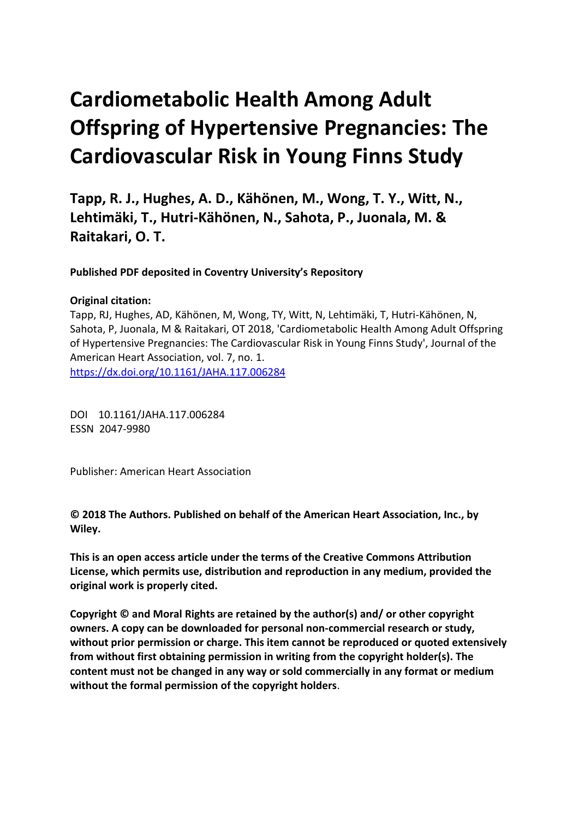# **Cardiometabolic Health Among Adult Offspring of Hypertensive Pregnancies: The Cardiovascular Risk in Young Finns Study**

**Tapp, R. J., Hughes, A. D., Kähönen, M., Wong, T. Y., Witt, N., Lehtimäki, T., Hutri-Kähönen, N., Sahota, P., Juonala, M. & Raitakari, O. T.** 

**Published PDF deposited in Coventry University's Repository** 

# **Original citation:**

Tapp, RJ, Hughes, AD, Kähönen, M, Wong, TY, Witt, N, Lehtimäki, T, Hutri-Kähönen, N, Sahota, P, Juonala, M & Raitakari, OT 2018, 'Cardiometabolic Health Among Adult Offspring of Hypertensive Pregnancies: The Cardiovascular Risk in Young Finns Study', Journal of the American Heart Association, vol. 7, no. 1. https://dx.doi.org/10.1161/JAHA.117.006284

 DOI 10.1161/JAHA.117.006284 ESSN 2047-9980

Publisher: American Heart Association

**© 2018 The Authors. Published on behalf of the American Heart Association, Inc., by Wiley.** 

**This is an open access article under the terms of the Creative Commons Attribution License, which permits use, distribution and reproduction in any medium, provided the original work is properly cited.** 

**Copyright © and Moral Rights are retained by the author(s) and/ or other copyright owners. A copy can be downloaded for personal non-commercial research or study, without prior permission or charge. This item cannot be reproduced or quoted extensively from without first obtaining permission in writing from the copyright holder(s). The content must not be changed in any way or sold commercially in any format or medium without the formal permission of the copyright holders**.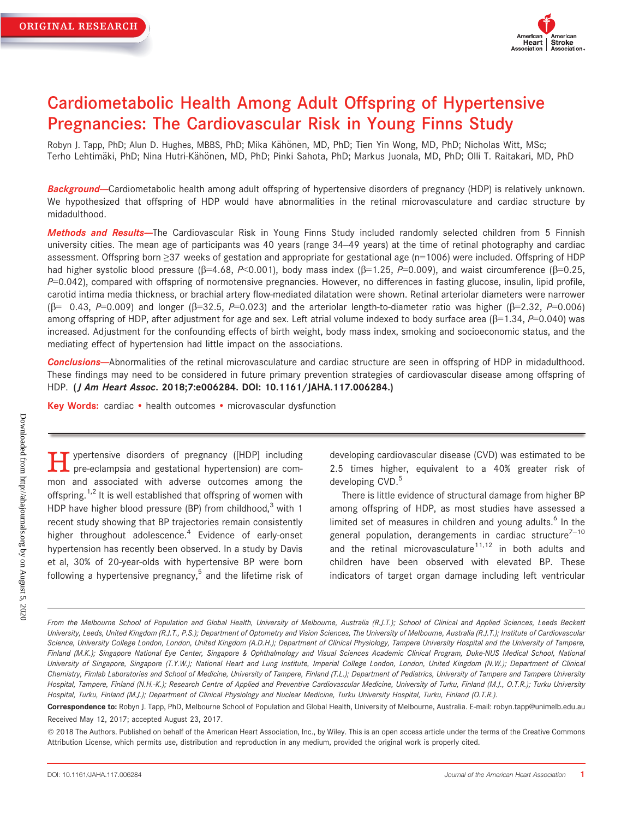

# Cardiometabolic Health Among Adult Offspring of Hypertensive Pregnancies: The Cardiovascular Risk in Young Finns Study

Robyn J. Tapp, PhD; Alun D. Hughes, MBBS, PhD; Mika Kähönen, MD, PhD; Tien Yin Wong, MD, PhD; Nicholas Witt, MSc; Terho Lehtimäki, PhD; Nina Hutri-Kähönen, MD, PhD; Pinki Sahota, PhD; Markus Juonala, MD, PhD; Olli T. Raitakari, MD, PhD

Background--Cardiometabolic health among adult offspring of hypertensive disorders of pregnancy (HDP) is relatively unknown. We hypothesized that offspring of HDP would have abnormalities in the retinal microvasculature and cardiac structure by midadulthood.

( $\beta$ = 0.43, P=0.009) and longer ( $\beta$ =32.5, P=0.023) and the arteriolar length-to-diameter ratio was higher ( $\beta$ =2.32, P=0.006) Methods and Results-The Cardiovascular Risk in Young Finns Study included randomly selected children from 5 Finnish university cities. The mean age of participants was 40 years (range 34–49 years) at the time of retinal photography and cardiac assessment. Offspring born ≥37 weeks of gestation and appropriate for gestational age (n=1006) were included. Offspring of HDP had higher systolic blood pressure ( $\beta$ =4.68, P<0.001), body mass index ( $\beta$ =1.25, P=0.009), and waist circumference ( $\beta$ =0.25,  $P=0.042$ ), compared with offspring of normotensive pregnancies. However, no differences in fasting glucose, insulin, lipid profile, carotid intima media thickness, or brachial artery flow-mediated dilatation were shown. Retinal arteriolar diameters were narrower among offspring of HDP, after adjustment for age and sex. Left atrial volume indexed to body surface area ( $\beta$ =1.34, P=0.040) was increased. Adjustment for the confounding effects of birth weight, body mass index, smoking and socioeconomic status, and the mediating effect of hypertension had little impact on the associations.

Conclusions-Abnormalities of the retinal microvasculature and cardiac structure are seen in offspring of HDP in midadulthood. These findings may need to be considered in future primary prevention strategies of cardiovascular disease among offspring of HDP. (J Am Heart Assoc. 2018;7:e006284. DOI: [10.1161/JAHA.117.006284](info:doi/10.1161/JAHA.117.006284).)

Key Words: cardiac • health outcomes • microvascular dysfunction

mon and associated with adverse outcomes among the offspring.<sup>1,2</sup> It is well established that offspring of women with There is little evidence of structural damage from higher BP

ypertensive disorders of pregnancy ([HDP] including developing cardiovascular disease (CVD) was estimated to be<br>pre-eclampsia and gestational hypertension) are com-<br>and associated with adverse outcomes among the developing 2.5 times higher, equivalent to a 40% greater risk of

HDP have higher blood pressure (BP) from childhood,<sup>3</sup> with 1 among offspring of HDP, as most studies have assessed a recent study showing that BP trajectories remain consistently limited set of measures in children and young adults.<sup>6</sup> In the higher throughout adolescence.<sup>4</sup> Evidence of early-onset general population, derangements in cardiac structure<sup>7-10</sup> hypertension has recently been observed. In a study by Davis and the retinal microvasculature<sup>11,12</sup> in both adults and et al, 30% of 20-year-olds with hypertensive BP were born children have been observed with elevated BP. These following a hypertensive pregnancy,<sup>5</sup> and the lifetime risk of indicators of target organ damage including left ventricular

Correspondence to: Robyn J. Tapp, PhD, Melbourne School of Population and Global Health, University of Melbourne, Australia. E-mail: robyn.tapp@unimelb.edu.au Received May 12, 2017; accepted August 23, 2017.

ª 2018 The Authors. Published on behalf of the American Heart Association, Inc., by Wiley. This is an open access article under the terms of the Creative [Commons](http://creativecommons.org/licenses/by/4.0/) [Attribution](http://creativecommons.org/licenses/by/4.0/) License, which permits use, distribution and reproduction in any medium, provided the original work is properly cited.

Downloaded from http://ahajournals.org by on August 5, 2020 Downloaded from http://ahajournals.org by on August 5, 2020

From the Melbourne School of Population and Global Health, University of Melbourne, Australia (R.J.T.); School of Clinical and Applied Sciences, Leeds Beckett University, Leeds, United Kingdom (R.J.T., P.S.); Department of Optometry and Vision Sciences, The University of Melbourne, Australia (R.J.T.); Institute of Cardiovascular Science, University College London, London, United Kingdom (A.D.H.); Department of Clinical Physiology, Tampere University Hospital and the University of Tampere, Finland (M.K.); Singapore National Eye Center, Singapore & Ophthalmology and Visual Sciences Academic Clinical Program, Duke-NUS Medical School, National University of Singapore, Singapore (T.Y.W.); National Heart and Lung Institute, Imperial College London, London, United Kingdom (N.W.); Department of Clinical Chemistry, Fimlab Laboratories and School of Medicine, University of Tampere, Finland (T.L.); Department of Pediatrics, University of Tampere and Tampere University Hospital, Tampere, Finland (N.H.-K.); Research Centre of Applied and Preventive Cardiovascular Medicine, University of Turku, Finland (M.J., O.T.R.); Turku University Hospital, Turku, Finland (M.J.); Department of Clinical Physiology and Nuclear Medicine, Turku University Hospital, Turku, Finland (O.T.R.).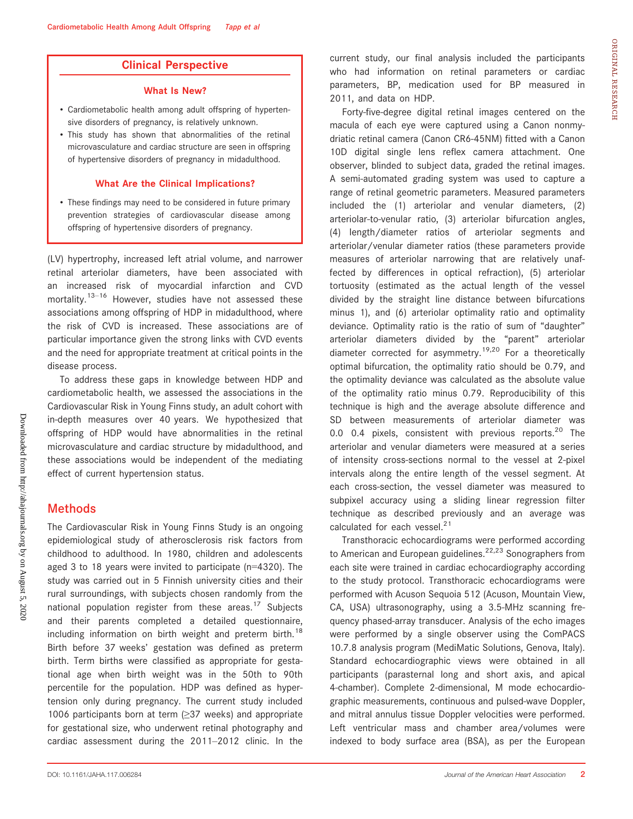# Clinical Perspective

#### What Is New?

- Cardiometabolic health among adult offspring of hypertensive disorders of pregnancy, is relatively unknown.
- This study has shown that abnormalities of the retinal microvasculature and cardiac structure are seen in offspring of hypertensive disorders of pregnancy in midadulthood.

#### What Are the Clinical Implications?

• These findings may need to be considered in future primary prevention strategies of cardiovascular disease among offspring of hypertensive disorders of pregnancy.

(LV) hypertrophy, increased left atrial volume, and narrower retinal arteriolar diameters, have been associated with an increased risk of myocardial infarction and CVD mortality.<sup>13–16</sup> However, studies have not assessed these associations among offspring of HDP in midadulthood, where the risk of CVD is increased. These associations are of particular importance given the strong links with CVD events and the need for appropriate treatment at critical points in the disease process.

To address these gaps in knowledge between HDP and cardiometabolic health, we assessed the associations in the Cardiovascular Risk in Young Finns study, an adult cohort with in-depth measures over 40 years. We hypothesized that offspring of HDP would have abnormalities in the retinal microvasculature and cardiac structure by midadulthood, and these associations would be independent of the mediating effect of current hypertension status.

# Methods

The Cardiovascular Risk in Young Finns Study is an ongoing epidemiological study of atherosclerosis risk factors from childhood to adulthood. In 1980, children and adolescents aged 3 to 18 years were invited to participate (n=4320). The study was carried out in 5 Finnish university cities and their rural surroundings, with subjects chosen randomly from the national population register from these areas.<sup>17</sup> Subjects and their parents completed a detailed questionnaire, including information on birth weight and preterm birth.<sup>18</sup> Birth before 37 weeks' gestation was defined as preterm birth. Term births were classified as appropriate for gestational age when birth weight was in the 50th to 90th percentile for the population. HDP was defined as hypertension only during pregnancy. The current study included 1006 participants born at term  $(≥37$  weeks) and appropriate for gestational size, who underwent retinal photography and cardiac assessment during the 2011–2012 clinic. In the current study, our final analysis included the participants who had information on retinal parameters or cardiac parameters, BP, medication used for BP measured in 2011, and data on HDP.

0.0 0.4 pixels, consistent with previous reports.<sup>20</sup> The Forty-five-degree digital retinal images centered on the macula of each eye were captured using a Canon nonmydriatic retinal camera (Canon CR6-45NM) fitted with a Canon 10D digital single lens reflex camera attachment. One observer, blinded to subject data, graded the retinal images. A semi-automated grading system was used to capture a range of retinal geometric parameters. Measured parameters included the (1) arteriolar and venular diameters, (2) arteriolar-to-venular ratio, (3) arteriolar bifurcation angles, (4) length/diameter ratios of arteriolar segments and arteriolar/venular diameter ratios (these parameters provide measures of arteriolar narrowing that are relatively unaffected by differences in optical refraction), (5) arteriolar tortuosity (estimated as the actual length of the vessel divided by the straight line distance between bifurcations minus 1), and (6) arteriolar optimality ratio and optimality deviance. Optimality ratio is the ratio of sum of "daughter" arteriolar diameters divided by the "parent" arteriolar diameter corrected for asymmetry.<sup>19,20</sup> For a theoretically optimal bifurcation, the optimality ratio should be 0.79, and the optimality deviance was calculated as the absolute value of the optimality ratio minus 0.79. Reproducibility of this technique is high and the average absolute difference and SD between measurements of arteriolar diameter was arteriolar and venular diameters were measured at a series of intensity cross-sections normal to the vessel at 2-pixel intervals along the entire length of the vessel segment. At each cross-section, the vessel diameter was measured to subpixel accuracy using a sliding linear regression filter technique as described previously and an average was calculated for each vessel.<sup>21</sup>

Transthoracic echocardiograms were performed according to American and European guidelines.<sup>22,23</sup> Sonographers from each site were trained in cardiac echocardiography according to the study protocol. Transthoracic echocardiograms were performed with Acuson Sequoia 512 (Acuson, Mountain View, CA, USA) ultrasonography, using a 3.5-MHz scanning frequency phased-array transducer. Analysis of the echo images were performed by a single observer using the ComPACS 10.7.8 analysis program (MediMatic Solutions, Genova, Italy). Standard echocardiographic views were obtained in all participants (parasternal long and short axis, and apical 4-chamber). Complete 2-dimensional, M mode echocardiographic measurements, continuous and pulsed-wave Doppler, and mitral annulus tissue Doppler velocities were performed. Left ventricular mass and chamber area/volumes were indexed to body surface area (BSA), as per the European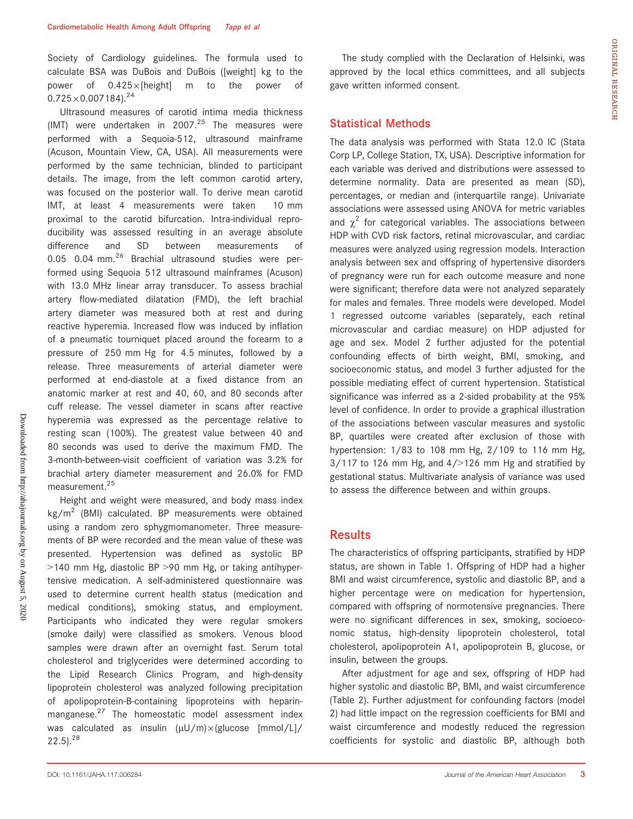Society of Cardiology guidelines. The formula used to calculate BSA was DuBois and DuBois ([weight] kg to the power of  $0.425\times$ [height] m to the power of  $0.725\times0.007184$ .<sup>24</sup>

0.05 0.04 mm.<sup>26</sup> Brachial ultrasound studies were per-Ultrasound measures of carotid intima media thickness (IMT) were undertaken in 2007. $25$  The measures were performed with a Sequoia-512, ultrasound mainframe (Acuson, Mountain View, CA, USA). All measurements were performed by the same technician, blinded to participant details. The image, from the left common carotid artery, was focused on the posterior wall. To derive mean carotid IMT, at least 4 measurements were taken 10 mm proximal to the carotid bifurcation. Intra-individual reproducibility was assessed resulting in an average absolute difference and SD between measurements of formed using Sequoia 512 ultrasound mainframes (Acuson) with 13.0 MHz linear array transducer. To assess brachial artery flow-mediated dilatation (FMD), the left brachial artery diameter was measured both at rest and during reactive hyperemia. Increased flow was induced by inflation of a pneumatic tourniquet placed around the forearm to a pressure of 250 mm Hg for 4.5 minutes, followed by a release. Three measurements of arterial diameter were performed at end-diastole at a fixed distance from an anatomic marker at rest and 40, 60, and 80 seconds after cuff release. The vessel diameter in scans after reactive hyperemia was expressed as the percentage relative to resting scan (100%). The greatest value between 40 and 80 seconds was used to derive the maximum FMD. The 3-month-between-visit coefficient of variation was 3.2% for brachial artery diameter measurement and 26.0% for FMD measurement.25

Height and weight were measured, and body mass index  $kg/m<sup>2</sup>$  (BMI) calculated. BP measurements were obtained using a random zero sphygmomanometer. Three measurements of BP were recorded and the mean value of these was presented. Hypertension was defined as systolic BP >140 mm Hg, diastolic BP >90 mm Hg, or taking antihypertensive medication. A self-administered questionnaire was used to determine current health status (medication and medical conditions), smoking status, and employment. Participants who indicated they were regular smokers (smoke daily) were classified as smokers. Venous blood samples were drawn after an overnight fast. Serum total cholesterol and triglycerides were determined according to the Lipid Research Clinics Program, and high-density lipoprotein cholesterol was analyzed following precipitation of apolipoprotein-B-containing lipoproteins with heparinmanganese.<sup>27</sup> The homeostatic model assessment index was calculated as insulin  $(\mu U/m) \times (\text{glucose [mmol/L]}/$  $22.5$ ).  $28$ 

The study complied with the Declaration of Helsinki, was approved by the local ethics committees, and all subjects gave written informed consent.

### Statistical Methods

The data analysis was performed with Stata 12.0 IC (Stata Corp LP, College Station, TX, USA). Descriptive information for each variable was derived and distributions were assessed to determine normality. Data are presented as mean (SD), percentages, or median and (interquartile range). Univariate associations were assessed using ANOVA for metric variables and  $\chi^2$  for categorical variables. The associations between HDP with CVD risk factors, retinal microvascular, and cardiac measures were analyzed using regression models. Interaction analysis between sex and offspring of hypertensive disorders of pregnancy were run for each outcome measure and none were significant; therefore data were not analyzed separately for males and females. Three models were developed. Model 1 regressed outcome variables (separately, each retinal microvascular and cardiac measure) on HDP adjusted for age and sex. Model 2 further adjusted for the potential confounding effects of birth weight, BMI, smoking, and socioeconomic status, and model 3 further adjusted for the possible mediating effect of current hypertension. Statistical significance was inferred as a 2-sided probability at the 95% level of confidence. In order to provide a graphical illustration of the associations between vascular measures and systolic BP, quartiles were created after exclusion of those with hypertension: 1/83 to 108 mm Hg, 2/109 to 116 mm Hg,  $3/117$  to 126 mm Hg, and  $4/$ >126 mm Hg and stratified by gestational status. Multivariate analysis of variance was used to assess the difference between and within groups.

## **Results**

The characteristics of offspring participants, stratified by HDP status, are shown in Table 1. Offspring of HDP had a higher BMI and waist circumference, systolic and diastolic BP, and a higher percentage were on medication for hypertension, compared with offspring of normotensive pregnancies. There were no significant differences in sex, smoking, socioeconomic status, high-density lipoprotein cholesterol, total cholesterol, apolipoprotein A1, apolipoprotein B, glucose, or insulin, between the groups.

After adjustment for age and sex, offspring of HDP had higher systolic and diastolic BP, BMI, and waist circumference (Table 2). Further adjustment for confounding factors (model 2) had little impact on the regression coefficients for BMI and waist circumference and modestly reduced the regression coefficients for systolic and diastolic BP, although both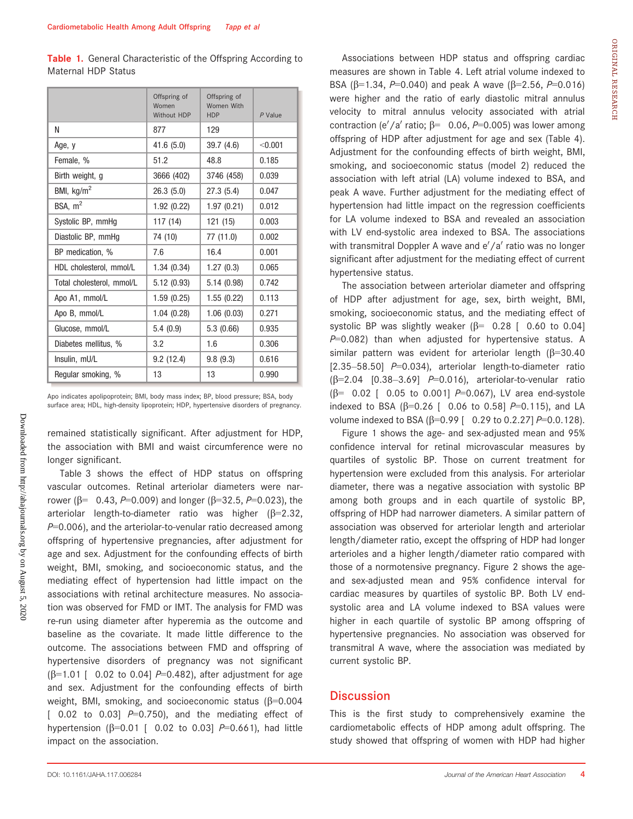Table 1. General Characteristic of the Offspring According to Maternal HDP Status

|                           | Offspring of<br>Women<br>Without HDP | Offspring of<br>Women With<br><b>HDP</b> | $P$ Value |
|---------------------------|--------------------------------------|------------------------------------------|-----------|
| N                         | 877                                  | 129                                      |           |
| Age, y                    | 41.6(5.0)                            | 39.7 (4.6)                               | < 0.001   |
| Female, %                 | 51.2                                 | 48.8                                     | 0.185     |
| Birth weight, g           | 3666 (402)                           | 3746 (458)                               | 0.039     |
| BMI, $kg/m2$              | 26.3(5.0)                            | 27.3(5.4)                                | 0.047     |
| BSA, $m2$                 | 1.92(0.22)                           | 1.97(0.21)                               | 0.012     |
| Systolic BP, mmHg         | 117 (14)                             | 121 (15)                                 | 0.003     |
| Diastolic BP, mmHq        | 74 (10)                              | 77 (11.0)                                | 0.002     |
| BP medication, %          | 7.6                                  | 16.4                                     | 0.001     |
| HDL cholesterol, mmol/L   | 1.34(0.34)                           | 1.27(0.3)                                | 0.065     |
| Total cholesterol, mmol/L | 5.12(0.93)                           | 5.14(0.98)                               | 0.742     |
| Apo A1, mmol/L            | 1.59(0.25)                           | 1.55(0.22)                               | 0.113     |
| Apo B, mmol/L             | 1.04(0.28)                           | 1.06(0.03)                               | 0.271     |
| Glucose, mmol/L           | 5.4(0.9)                             | 5.3(0.66)                                | 0.935     |
| Diabetes mellitus, %      | 3.2                                  | 1.6                                      | 0.306     |
| Insulin, mU/L             | 9.2(12.4)                            | 9.8(9.3)                                 | 0.616     |
| Regular smoking, %        | 13                                   | 13                                       | 0.990     |

Apo indicates apolipoprotein; BMI, body mass index; BP, blood pressure; BSA, body surface area; HDL, high-density lipoprotein; HDP, hypertensive disorders of pregnancy.

remained statistically significant. After adjustment for HDP, the association with BMI and waist circumference were no longer significant.

rower ( $\beta$ = 0.43, P=0.009) and longer ( $\beta$ =32.5, P=0.023), the  $(\beta=1.01$  [ 0.02 to 0.04] P=0.482), after adjustment for age  $[$  0.02 to 0.03]  $P=$ 0.750), and the mediating effect of hypertension ( $\beta$ =0.01 [ 0.02 to 0.03] P=0.661), had little Table 3 shows the effect of HDP status on offspring vascular outcomes. Retinal arteriolar diameters were nararteriolar length-to-diameter ratio was higher ( $\beta$ =2.32,  $P=0.006$ ), and the arteriolar-to-venular ratio decreased among offspring of hypertensive pregnancies, after adjustment for age and sex. Adjustment for the confounding effects of birth weight, BMI, smoking, and socioeconomic status, and the mediating effect of hypertension had little impact on the associations with retinal architecture measures. No association was observed for FMD or IMT. The analysis for FMD was re-run using diameter after hyperemia as the outcome and baseline as the covariate. It made little difference to the outcome. The associations between FMD and offspring of hypertensive disorders of pregnancy was not significant and sex. Adjustment for the confounding effects of birth weight, BMI, smoking, and socioeconomic status ( $\beta$ =0.004 impact on the association.

contraction (e'/a' ratio;  $\beta$ = 0.06, P=0.005) was lower among Associations between HDP status and offspring cardiac measures are shown in Table 4. Left atrial volume indexed to BSA ( $\beta$ =1.34, P=0.040) and peak A wave ( $\beta$ =2.56, P=0.016) were higher and the ratio of early diastolic mitral annulus velocity to mitral annulus velocity associated with atrial offspring of HDP after adjustment for age and sex (Table 4). Adjustment for the confounding effects of birth weight, BMI, smoking, and socioeconomic status (model 2) reduced the association with left atrial (LA) volume indexed to BSA, and peak A wave. Further adjustment for the mediating effect of hypertension had little impact on the regression coefficients for LA volume indexed to BSA and revealed an association with LV end-systolic area indexed to BSA. The associations with transmitral Doppler A wave and e'/a' ratio was no longer significant after adjustment for the mediating effect of current hypertensive status.

systolic BP was slightly weaker ( $\beta$ = 0.28 [ 0.60 to 0.04]  $(\beta= 0.02$  [ 0.05 to 0.001] P=0.067), LV area end-systole indexed to BSA (β=0.26 [ 0.06 to 0.58]  $P=0.115$ ), and LA volume indexed to BSA ( $\beta$ =0.99 [ 0.29 to 0.2.27] P=0.0.128). The association between arteriolar diameter and offspring of HDP after adjustment for age, sex, birth weight, BMI, smoking, socioeconomic status, and the mediating effect of  $P=0.082$ ) than when adjusted for hypertensive status. A similar pattern was evident for arteriolar length ( $\beta$ =30.40 [2.35–58.50]  $P=0.034$ ), arteriolar length-to-diameter ratio  $(\beta=2.04 \, [0.38-3.69] \, P=0.016)$ , arteriolar-to-venular ratio

Figure 1 shows the age- and sex-adjusted mean and 95% confidence interval for retinal microvascular measures by quartiles of systolic BP. Those on current treatment for hypertension were excluded from this analysis. For arteriolar diameter, there was a negative association with systolic BP among both groups and in each quartile of systolic BP, offspring of HDP had narrower diameters. A similar pattern of association was observed for arteriolar length and arteriolar length/diameter ratio, except the offspring of HDP had longer arterioles and a higher length/diameter ratio compared with those of a normotensive pregnancy. Figure 2 shows the ageand sex-adjusted mean and 95% confidence interval for cardiac measures by quartiles of systolic BP. Both LV endsystolic area and LA volume indexed to BSA values were higher in each quartile of systolic BP among offspring of hypertensive pregnancies. No association was observed for transmitral A wave, where the association was mediated by current systolic BP.

### **Discussion**

This is the first study to comprehensively examine the cardiometabolic effects of HDP among adult offspring. The study showed that offspring of women with HDP had higher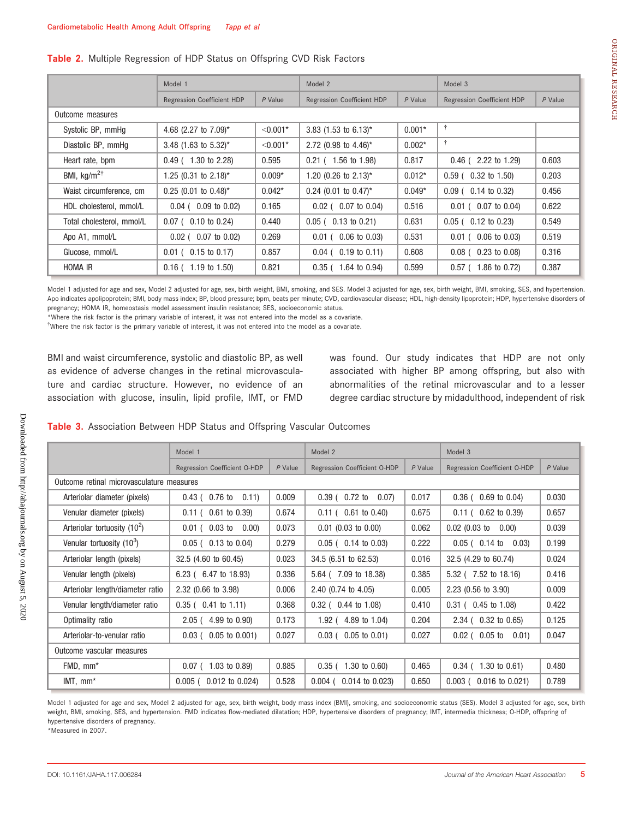#### Table 2. Multiple Regression of HDP Status on Offspring CVD Risk Factors

|                           | Model 1                           |            | Model 2                            |           | Model 3                        |           |  |  |
|---------------------------|-----------------------------------|------------|------------------------------------|-----------|--------------------------------|-----------|--|--|
|                           | Regression Coefficient HDP        | $P$ Value  | Regression Coefficient HDP         | $P$ Value | Regression Coefficient HDP     | $P$ Value |  |  |
| Outcome measures          |                                   |            |                                    |           |                                |           |  |  |
| Systolic BP, mmHq         | 4.68 (2.27 to $7.09$ <sup>*</sup> | $< 0.001*$ | 3.83 $(1.53 \text{ to } 6.13)^*$   | $0.001*$  | $\dagger$                      |           |  |  |
| Diastolic BP, mmHg        | 3.48 (1.63 to 5.32)*              | $< 0.001*$ | 2.72 (0.98 to 4.46)*               | $0.002*$  | $\ddot{\tau}$                  |           |  |  |
| Heart rate, bpm           | $0.49$ ( 1.30 to 2.28)            | 0.595      | $0.21$ ( 1.56 to 1.98)             | 0.817     | $0.46$ ( $2.22$ to 1.29)       | 0.603     |  |  |
| BMI, $kg/m^{2\dagger}$    | 1.25 (0.31 to 2.18)*              | $0.009*$   | 1.20 (0.26 to 2.13)*               | $0.012*$  | $0.59$ ( $0.32$ to 1.50)       | 0.203     |  |  |
| Waist circumference, cm   | $0.25$ (0.01 to 0.48)*            | $0.042*$   | $0.24$ (0.01 to 0.47) <sup>*</sup> | $0.049*$  | $0.09$ ( $0.14$ to $0.32$ )    | 0.456     |  |  |
| HDL cholesterol, mmol/L   | $0.04$ ( $0.09$ to $0.02$ )       | 0.165      | $0.02$ ( $0.07$ to $0.04$ )        | 0.516     | $0.01$ ( $0.07$ to $0.04$ )    | 0.622     |  |  |
| Total cholesterol, mmol/L | $0.07$ ( $0.10$ to 0.24)          | 0.440      | $0.05$ ( $0.13$ to $0.21$ )        | 0.631     | $0.05$ ( $0.12$ to 0.23)       | 0.549     |  |  |
| Apo A1, mmol/L            | $0.02$ ( $0.07$ to $0.02$ )       | 0.269      | $0.01$ ( $0.06$ to $0.03$ )        | 0.531     | $0.06$ to $0.03$ )<br>$0.01$ ( | 0.519     |  |  |
| Glucose, mmol/L           | $0.01$ ( $0.15$ to $0.17$ )       | 0.857      | $0.04$ ( $0.19$ to $0.11$ )        | 0.608     | $0.08$ ( $0.23$ to $0.08$ )    | 0.316     |  |  |
| HOMA IR                   | $0.16$ ( 1.19 to 1.50)            | 0.821      | $0.35$ ( 1.64 to 0.94)             | 0.599     | $0.57$ ( 1.86 to 0.72)         | 0.387     |  |  |

Model 1 adjusted for age and sex, Model 2 adjusted for age, sex, birth weight, BMI, smoking, and SES. Model 3 adjusted for age, sex, birth weight, BMI, smoking, SES, and hypertension. Apo indicates apolipoprotein; BMI, body mass index; BP, blood pressure; bpm, beats per minute; CVD, cardiovascular disease; HDL, high-density lipoprotein; HDP, hypertensive disorders of pregnancy; HOMA IR, homeostasis model assessment insulin resistance; SES, socioeconomic status.

\*Where the risk factor is the primary variable of interest, it was not entered into the model as <sup>a</sup> covariate. †

<sup>†</sup>Where the risk factor is the primary variable of interest, it was not entered into the model as a covariate.

as evidence of adverse changes in the retinal microvascula- associated with higher BP among offspring, but also with ture and cardiac structure. However, no evidence of an abnormalities of the retinal microvascular and to a lesser association with glucose, insulin, lipid profile, IMT, or FMD degree cardiac structure by midadulthood, independent of risk

BMI and waist circumference, systolic and diastolic BP, as well was found. Our study indicates that HDP are not only

|  |  | Table 3. Association Between HDP Status and Offspring Vascular Outcomes |  |  |  |  |  |  |  |
|--|--|-------------------------------------------------------------------------|--|--|--|--|--|--|--|
|--|--|-------------------------------------------------------------------------|--|--|--|--|--|--|--|

|                                           | Model 1                             |           | Model 2                           |           | Model 3                           |         |  |  |
|-------------------------------------------|-------------------------------------|-----------|-----------------------------------|-----------|-----------------------------------|---------|--|--|
| Regression Coefficient O-HDP              |                                     | $P$ Value | Regression Coefficient O-HDP      | $P$ Value | Regression Coefficient O-HDP      | P Value |  |  |
| Outcome retinal microvasculature measures |                                     |           |                                   |           |                                   |         |  |  |
| Arteriolar diameter (pixels)              | $0.43$ ( $0.76$ to<br>0.11          | 0.009     | $0.39$ ( $0.72$ to $0.07$ )       | 0.017     | $0.36$ ( $0.69$ to $0.04$ )       | 0.030   |  |  |
| Venular diameter (pixels)                 | $0.11$ ( $0.61$ to $0.39$ )         | 0.674     | $0.11$ ( $0.61$ to $0.40$ )       | 0.675     | $0.11$ ( $0.62$ to $0.39$ )       | 0.657   |  |  |
| Arteriolar tortuosity $(10^2)$            | $0.01$ ( $0.03$ to<br>0.00          | 0.073     | $0.01$ (0.03 to 0.00)             | 0.062     | $0.02$ (0.03 to<br>0.00           | 0.039   |  |  |
| Venular tortuosity $(10^3)$               | $0.05$ ( $0.13$ to $0.04$ )         | 0.279     | $0.05$ ( $0.14$ to $0.03$ )       | 0.222     | $0.05$ ( $0.14$ to<br>0.03)       | 0.199   |  |  |
| Arteriolar length (pixels)                | 32.5 (4.60 to 60.45)                | 0.023     | 34.5 (6.51 to 62.53)              | 0.016     | 32.5 (4.29 to 60.74)              | 0.024   |  |  |
| Venular length (pixels)                   | $6.23$ ( $6.47$ to 18.93)           | 0.336     | 5.64 ( 7.09 to 18.38)             | 0.385     | 5.32 ( 7.52 to 18.16)             | 0.416   |  |  |
| Arteriolar length/diameter ratio          | 2.32 (0.66 to 3.98)                 | 0.006     | 2.40 (0.74 to 4.05)               | 0.005     | $2.23$ (0.56 to 3.90)             | 0.009   |  |  |
| Venular length/diameter ratio             | $0.35$ ( $0.41$ to 1.11)            | 0.368     | $0.32$ ( $0.44$ to 1.08)          | 0.410     | $0.31$ ( $0.45$ to 1.08)          | 0.422   |  |  |
| Optimality ratio                          | $2.05$ (4.99 to 0.90)               | 0.173     | 1.92 $(4.89 \text{ to } 1.04)$    | 0.204     | $2.34$ ( $0.32$ to $0.65$ )       | 0.125   |  |  |
| Arteriolar-to-venular ratio               | $0.03$ (<br>$0.05$ to $0.001$ )     | 0.027     | $0.03$ (<br>$0.05$ to $0.01$ )    | 0.027     | $0.02$ ( $0.05$ to<br>0.01)       | 0.047   |  |  |
| Outcome vascular measures                 |                                     |           |                                   |           |                                   |         |  |  |
| FMD, mm*                                  | $0.07$ ( 1.03 to 0.89)              | 0.885     | $0.35$ ( 1.30 to 0.60)            | 0.465     | $0.34$ ( 1.30 to 0.61)            | 0.480   |  |  |
| IMT, mm*                                  | $0.012$ to $0.024$ )<br>$0.005$ $($ | 0.528     | $0.004$ (<br>$0.014$ to $0.023$ ) | 0.650     | $0.016$ to $0.021$ )<br>$0.003$ ( | 0.789   |  |  |

Model 1 adjusted for age and sex, Model 2 adjusted for age, sex, birth weight, body mass index (BMI), smoking, and socioeconomic status (SES). Model 3 adjusted for age, sex, birth weight, BMI, smoking, SES, and hypertension. FMD indicates flow-mediated dilatation; HDP, hypertensive disorders of pregnancy; IMT, intermedia thickness; O-HDP, offspring of hypertensive disorders of pregnancy.

\*Measured in 2007.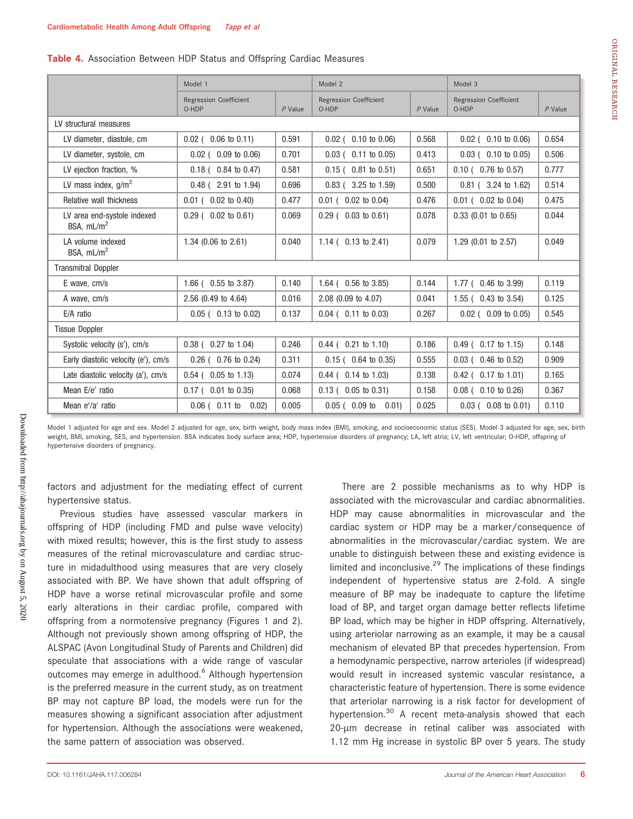|                                             | Model 1                                  |           | Model 2                                  |           | Model 3                                  |           |
|---------------------------------------------|------------------------------------------|-----------|------------------------------------------|-----------|------------------------------------------|-----------|
|                                             | <b>Regression Coefficient</b><br>$O-HDP$ | $P$ Value | <b>Regression Coefficient</b><br>$O-HDP$ | $P$ Value | <b>Regression Coefficient</b><br>$O-HDP$ | $P$ Value |
| LV structural measures                      |                                          |           |                                          |           |                                          |           |
| LV diameter, diastole, cm                   | $0.02$ ( $0.06$ to $0.11$ )              | 0.591     | $0.02$ ( $0.10$ to $0.06$ )              | 0.568     | $0.02$ ( $0.10$ to $0.06$ )              | 0.654     |
| LV diameter, systole, cm                    | $0.02$ ( $0.09$ to $0.06$ )              | 0.701     | $0.03$ ( $0.11$ to $0.05$ )              | 0.413     | $0.03$ ( $0.10$ to $0.05$ )              | 0.506     |
| LV ejection fraction, %                     | $0.18$ ( $0.84$ to $0.47$ )              | 0.581     | $0.15$ ( $0.81$ to $0.51$ )              | 0.651     | $0.10$ ( $0.76$ to $0.57$ )              | 0.777     |
| LV mass index, $g/m^2$                      | $0.48$ ( $2.91$ to $1.94$ )              | 0.696     | $0.83$ ( $3.25$ to $1.59$ )              | 0.500     | $0.81$ ( $3.24$ to $1.62$ )              | 0.514     |
| Relative wall thickness                     | $0.01$ ( $0.02$ to $0.40$ )              | 0.477     | $0.01$ ( $0.02$ to $0.04$ )              | 0.476     | $0.01$ ( $0.02$ to $0.04$ )              | 0.475     |
| LV area end-systole indexed<br>BSA, $mL/m2$ | $0.29$ ( $0.02$ to $0.61$ )              | 0.069     | $0.29$ ( $0.03$ to $0.61$ )              | 0.078     | $0.33$ (0.01 to 0.65)                    | 0.044     |
| LA volume indexed<br>BSA, mL/m <sup>2</sup> | 1.34 (0.06 to 2.61)                      | 0.040     | $1.14$ ( $0.13$ to 2.41)                 | 0.079     | 1.29 (0.01 to 2.57)                      | 0.049     |
| <b>Transmitral Doppler</b>                  |                                          |           |                                          |           |                                          |           |
| E wave, cm/s                                | $1.66$ ( $0.55$ to 3.87)                 | 0.140     | $1.64$ ( $0.56$ to 3.85)                 | 0.144     | $1.77$ ( 0.46 to 3.99)                   | 0.119     |
| A wave, cm/s                                | 2.56 (0.49 to 4.64)                      | 0.016     | 2.08 (0.09 to 4.07)                      | 0.041     | $1.55$ ( 0.43 to 3.54)                   | 0.125     |
| E/A ratio                                   | $0.05$ ( $0.13$ to $0.02$ )              | 0.137     | $0.04$ ( $0.11$ to $0.03$ )              | 0.267     | $0.02$ ( $0.09$ to $0.05$ )              | 0.545     |
| <b>Tissue Doppler</b>                       |                                          |           |                                          |           |                                          |           |
| Systolic velocity (s'), cm/s                | $0.38$ ( $0.27$ to 1.04)                 | 0.246     | $0.44$ ( $0.21$ to 1.10)                 | 0.186     | $0.49$ ( $0.17$ to 1.15)                 | 0.148     |
| Early diastolic velocity (e'), cm/s         | $0.26$ ( $0.76$ to 0.24)                 | 0.311     | $0.15$ ( $0.64$ to $0.35$ )              | 0.555     | $0.03$ ( $0.46$ to $0.52$ )              | 0.909     |
| Late diastolic velocity (a'), cm/s          | $0.54$ ( $0.05$ to 1.13)                 | 0.074     | $0.44$ ( $0.14$ to 1.03)                 | 0.138     | $0.42$ ( $0.17$ to 1.01)                 | 0.165     |
| Mean E/e' ratio                             | $0.17$ ( $0.01$ to $0.35$ )              | 0.068     | $0.13$ ( $0.05$ to $0.31$ )              | 0.158     | $0.08$ ( $0.10$ to $0.26$ )              | 0.367     |
| Mean e'/a' ratio                            | $0.06$ ( $0.11$ to $0.02$ )              | 0.005     | $0.05$ ( $0.09$ to $0.01$ )              | 0.025     | $0.03$ ( $0.08$ to $0.01$ )              | 0.110     |
|                                             |                                          |           |                                          |           |                                          |           |

#### Table 4. Association Between HDP Status and Offspring Cardiac Measures

Model 1 adjusted for age and sex. Model 2 adjusted for age, sex, birth weight, body mass index (BMI), smoking, and socioeconomic status (SES). Model 3 adjusted for age, sex, birth weight, BMI, smoking, SES, and hypertension. BSA indicates body surface area; HDP, hypertensive disorders of pregnancy; LA, left atria; LV, left ventricular; O-HDP, offspring of hypertensive disorders of pregnancy.

factors and adjustment for the mediating effect of current hypertensive status.

Previous studies have assessed vascular markers in offspring of HDP (including FMD and pulse wave velocity) with mixed results; however, this is the first study to assess measures of the retinal microvasculature and cardiac structure in midadulthood using measures that are very closely associated with BP. We have shown that adult offspring of HDP have a worse retinal microvascular profile and some early alterations in their cardiac profile, compared with offspring from a normotensive pregnancy (Figures 1 and 2). Although not previously shown among offspring of HDP, the ALSPAC (Avon Longitudinal Study of Parents and Children) did speculate that associations with a wide range of vascular outcomes may emerge in adulthood.<sup>6</sup> Although hypertension is the preferred measure in the current study, as on treatment BP may not capture BP load, the models were run for the measures showing a significant association after adjustment for hypertension. Although the associations were weakened, the same pattern of association was observed.

There are 2 possible mechanisms as to why HDP is associated with the microvascular and cardiac abnormalities. HDP may cause abnormalities in microvascular and the cardiac system or HDP may be a marker/consequence of abnormalities in the microvascular/cardiac system. We are unable to distinguish between these and existing evidence is limited and inconclusive. $2^9$  The implications of these findings independent of hypertensive status are 2-fold. A single measure of BP may be inadequate to capture the lifetime load of BP, and target organ damage better reflects lifetime BP load, which may be higher in HDP offspring. Alternatively, using arteriolar narrowing as an example, it may be a causal mechanism of elevated BP that precedes hypertension. From a hemodynamic perspective, narrow arterioles (if widespread) would result in increased systemic vascular resistance, a characteristic feature of hypertension. There is some evidence that arteriolar narrowing is a risk factor for development of hypertension.<sup>30</sup> A recent meta-analysis showed that each 20-um decrease in retinal caliber was associated with 1.12 mm Hg increase in systolic BP over 5 years. The study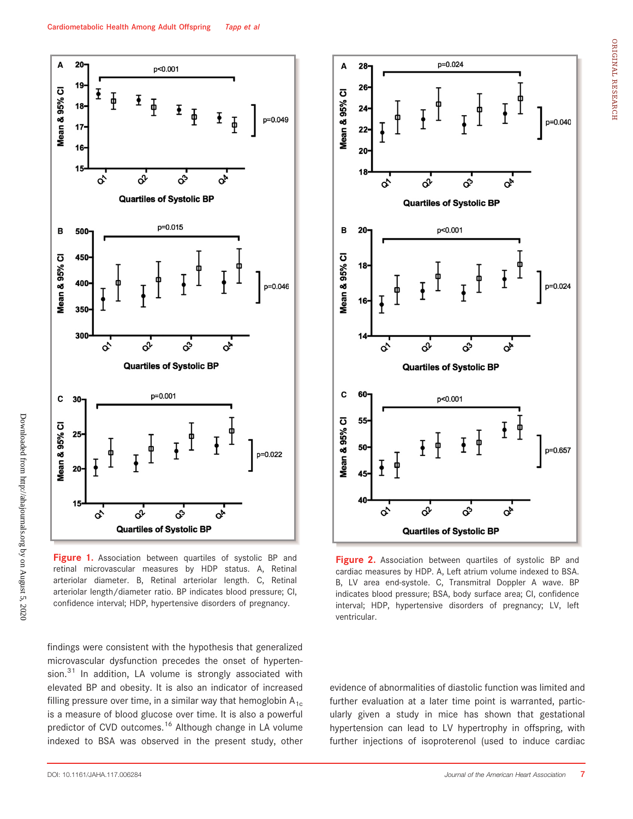

Figure 1. Association between quartiles of systolic BP and retinal microvascular measures by HDP status. A, Retinal arteriolar diameter. B, Retinal arteriolar length. C, Retinal arteriolar length/diameter ratio. BP indicates blood pressure; CI, confidence interval; HDP, hypertensive disorders of pregnancy.

findings were consistent with the hypothesis that generalized microvascular dysfunction precedes the onset of hypertension.<sup>31</sup> In addition, LA volume is strongly associated with elevated BP and obesity. It is also an indicator of increased filling pressure over time, in a similar way that hemoglobin  $A_{1c}$ is a measure of blood glucose over time. It is also a powerful predictor of CVD outcomes.<sup>16</sup> Although change in LA volume indexed to BSA was observed in the present study, other



Figure 2. Association between quartiles of systolic BP and cardiac measures by HDP. A, Left atrium volume indexed to BSA. B, LV area end-systole. C, Transmitral Doppler A wave. BP indicates blood pressure; BSA, body surface area; CI, confidence interval; HDP, hypertensive disorders of pregnancy; LV, left ventricular.

evidence of abnormalities of diastolic function was limited and further evaluation at a later time point is warranted, particularly given a study in mice has shown that gestational hypertension can lead to LV hypertrophy in offspring, with further injections of isoproterenol (used to induce cardiac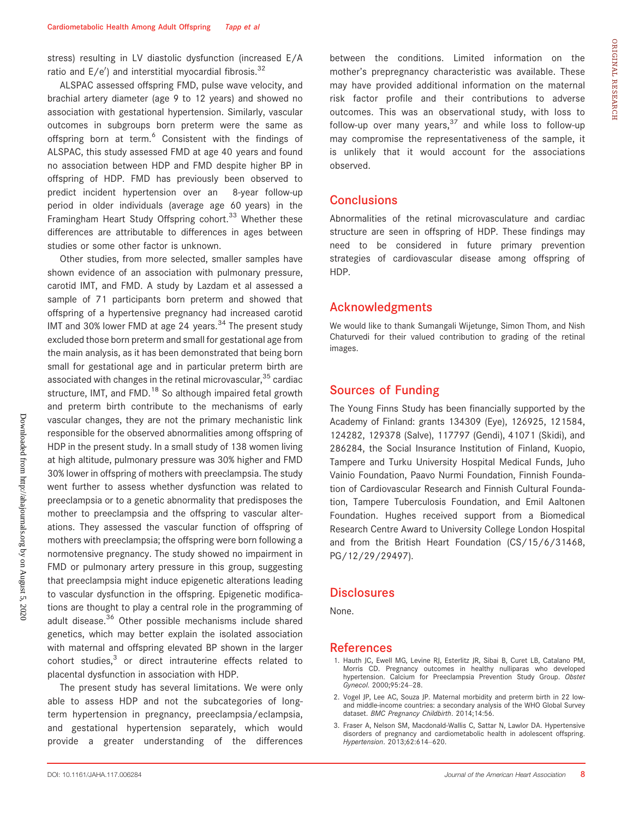stress) resulting in LV diastolic dysfunction (increased E/A ratio and  $E/e'$ ) and interstitial myocardial fibrosis.<sup>32</sup>

 predict incident hypertension over an 8-year follow-up ALSPAC assessed offspring FMD, pulse wave velocity, and brachial artery diameter (age 9 to 12 years) and showed no association with gestational hypertension. Similarly, vascular outcomes in subgroups born preterm were the same as offspring born at term.<sup>6</sup> Consistent with the findings of ALSPAC, this study assessed FMD at age 40 years and found no association between HDP and FMD despite higher BP in offspring of HDP. FMD has previously been observed to period in older individuals (average age 60 years) in the Framingham Heart Study Offspring cohort.<sup>33</sup> Whether these differences are attributable to differences in ages between studies or some other factor is unknown.

Other studies, from more selected, smaller samples have shown evidence of an association with pulmonary pressure, carotid IMT, and FMD. A study by Lazdam et al assessed a sample of 71 participants born preterm and showed that offspring of a hypertensive pregnancy had increased carotid IMT and 30% lower FMD at age 24 years. $34$  The present study excluded those born preterm and small for gestational age from the main analysis, as it has been demonstrated that being born small for gestational age and in particular preterm birth are associated with changes in the retinal microvascular,  $35$  cardiac structure, IMT, and FMD.<sup>18</sup> So although impaired fetal growth and preterm birth contribute to the mechanisms of early vascular changes, they are not the primary mechanistic link responsible for the observed abnormalities among offspring of HDP in the present study. In a small study of 138 women living at high altitude, pulmonary pressure was 30% higher and FMD 30% lower in offspring of mothers with preeclampsia. The study went further to assess whether dysfunction was related to preeclampsia or to a genetic abnormality that predisposes the mother to preeclampsia and the offspring to vascular alterations. They assessed the vascular function of offspring of mothers with preeclampsia; the offspring were born following a normotensive pregnancy. The study showed no impairment in FMD or pulmonary artery pressure in this group, suggesting that preeclampsia might induce epigenetic alterations leading to vascular dysfunction in the offspring. Epigenetic modifications are thought to play a central role in the programming of adult disease.<sup>36</sup> Other possible mechanisms include shared genetics, which may better explain the isolated association with maternal and offspring elevated BP shown in the larger cohort studies, $3$  or direct intrauterine effects related to placental dysfunction in association with HDP.

The present study has several limitations. We were only able to assess HDP and not the subcategories of longterm hypertension in pregnancy, preeclampsia/eclampsia, and gestational hypertension separately, which would provide a greater understanding of the differences

between the conditions. Limited information on the mother's prepregnancy characteristic was available. These may have provided additional information on the maternal risk factor profile and their contributions to adverse outcomes. This was an observational study, with loss to follow-up over many years, $37$  and while loss to follow-up may compromise the representativeness of the sample, it is unlikely that it would account for the associations observed.

#### **Conclusions**

Abnormalities of the retinal microvasculature and cardiac structure are seen in offspring of HDP. These findings may need to be considered in future primary prevention strategies of cardiovascular disease among offspring of HDP.

## Acknowledgments

We would like to thank Sumangali Wijetunge, Simon Thom, and Nish Chaturvedi for their valued contribution to grading of the retinal images.

#### Sources of Funding

The Young Finns Study has been financially supported by the Academy of Finland: grants 134309 (Eye), 126925, 121584, 124282, 129378 (Salve), 117797 (Gendi), 41071 (Skidi), and 286284, the Social Insurance Institution of Finland, Kuopio, Tampere and Turku University Hospital Medical Funds, Juho Vainio Foundation, Paavo Nurmi Foundation, Finnish Foundation of Cardiovascular Research and Finnish Cultural Foundation, Tampere Tuberculosis Foundation, and Emil Aaltonen Foundation. Hughes received support from a Biomedical Research Centre Award to University College London Hospital and from the British Heart Foundation (CS/15/6/31468, PG/12/29/29497).

### **Disclosures**

None.

#### References

- 1. Hauth JC, Ewell MG, Levine RJ, Esterlitz JR, Sibai B, Curet LB, Catalano PM, Morris CD. Pregnancy outcomes in healthy nulliparas who developed hypertension. Calcium for Preeclampsia Prevention Study Group. Obstet Gynecol. 2000;95:24–28.
- 2. Vogel JP, Lee AC, Souza JP. Maternal morbidity and preterm birth in 22 lowand middle-income countries: a secondary analysis of the WHO Global Survey dataset. BMC Pregnancy Childbirth. 2014;14:56.
- 3. Fraser A, Nelson SM, Macdonald-Wallis C, Sattar N, Lawlor DA. Hypertensive disorders of pregnancy and cardiometabolic health in adolescent offspring. Hypertension. 2013;62:614–620.